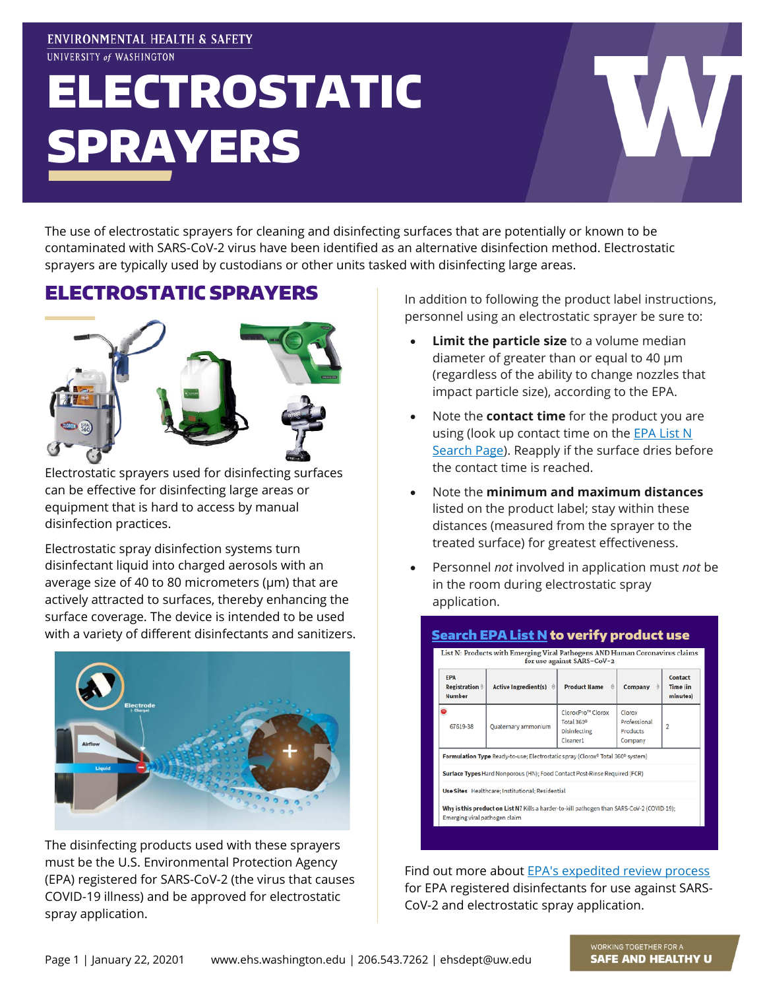### **ENVIRONMENTAL HEALTH & SAFETY** UNIVERSITY of WASHINGTON

# ELECTROSTATIC SPRAYERS

The use of electrostatic sprayers for cleaning and disinfecting surfaces that are potentially or known to be contaminated with SARS-CoV-2 virus have been identified as an alternative disinfection method. Electrostatic sprayers are typically used by custodians or other units tasked with disinfecting large areas.

## ELECTROSTATIC SPRAYERS



Electrostatic sprayers used for disinfecting surfaces can be effective for disinfecting large areas or equipment that is hard to access by manual disinfection practices.

Electrostatic spray disinfection systems turn disinfectant liquid into charged aerosols with an average size of 40 to 80 micrometers ( $\mu$ m) that are actively attracted to surfaces, thereby enhancing the surface coverage. The device is intended to be used with a variety of different disinfectants and sanitizers.



The disinfecting products used with these sprayers must be the U.S. Environmental Protection Agency (EPA) registered for SARS-CoV-2 (the virus that causes COVID-19 illness) and be approved for electrostatic spray application.

In addition to following the product label instructions, personnel using an electrostatic sprayer be sure to:

- **Limit the particle size** to a volume median diameter of greater than or equal to 40 µm (regardless of the ability to change nozzles that impact particle size), according to the EPA.
- Note the **contact time** for the product you are using (look up contact time on the **EPA List N** [Search Page\)](https://www.epa.gov/pesticide-registration/list-n-advanced-search-page-disinfectants-coronavirus-covid-19). Reapply if the surface dries before the contact time is reached.
- Note the **minimum and maximum distances** listed on the product label; stay within these distances (measured from the sprayer to the treated surface) for greatest effectiveness.
- Personnel *not* involved in application must *not* be in the room during electrostatic spray application.



Find out more about [EPA's expedited review process](https://www.epa.gov/pesticide-registration/expedited-review-adding-electrostatic-spray-application-directions-use) for EPA registered disinfectants for use against SARS-CoV-2 and electrostatic spray application.